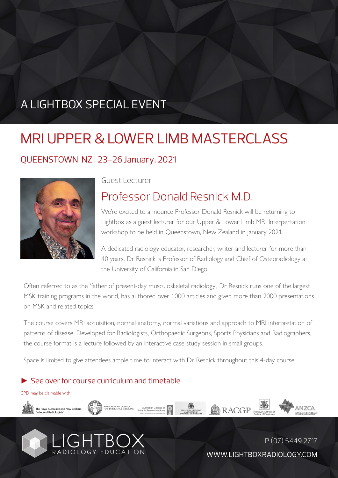## A LIGHTBOX SPECIAL EVENT

# MRI UPPER & LOWER LIMB MASTERCLASS

#### QUEENSTOWN, NZ | 23-26 January, 2021



Guest Lecturer

## Professor Donald Resnick M.D.

We're excited to announce Professor Donald Resnick will be returning to Lightbox as a guest lecturer for our Upper & Lower Limb MRI Interpertation workshop to be held in Queenstown, New Zealand in January 2021.

A dedicated radiology educator, researcher, writer and lecturer for more than 40 years, Dr Resnick is Professor of Radiology and Chief of Osteoradiology at the University of California in San Diego.

Often referred to as the 'father of present-day musculoskeletal radiology', Dr Resnick runs one of the largest MSK training programs in the world, has authored over 1000 articles and given more than 2000 presentations on MSK and related topics.

The course covers MRI acquisition, normal anatomy, normal variations and approach to MRI interpretation of patterns of disease. Developed for Radiologists, Orthopaedic Surgeons, Sports Physicians and Radiographers, the course format is a lecture followed by an interactive case study session in small groups.

Space is limited to give attendees ample time to interact with Dr Resnick throughout this 4-day course.

#### ► See over for course curriculum and timetable

CPD may be claimable with



WWW.LIGHTBOXRADIOLOGY.COM